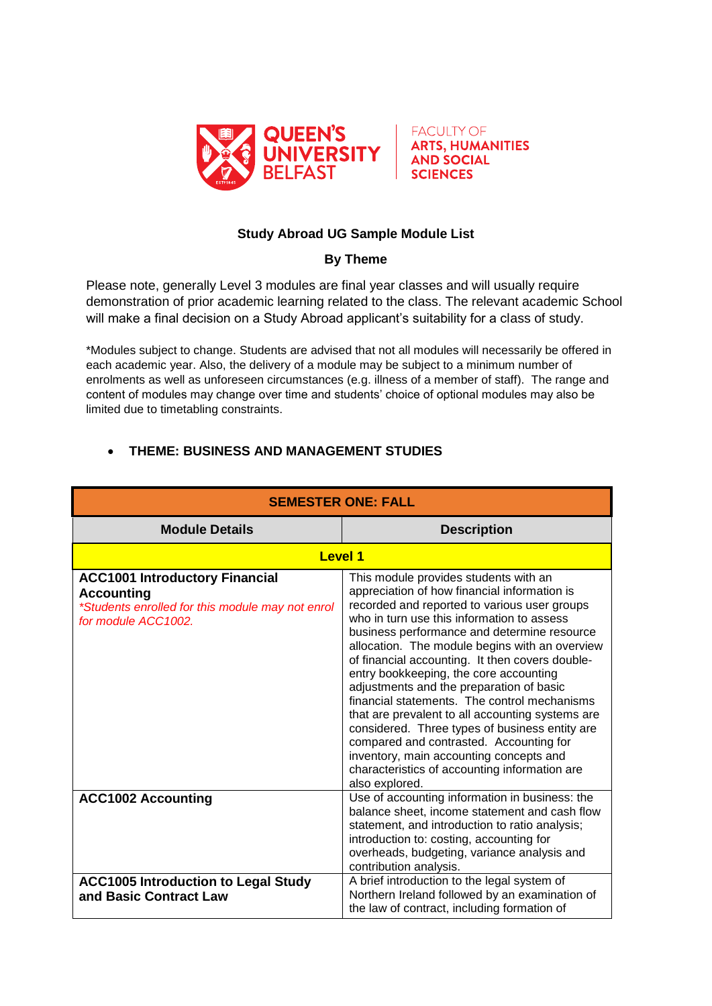



## **Study Abroad UG Sample Module List**

## **By Theme**

Please note, generally Level 3 modules are final year classes and will usually require demonstration of prior academic learning related to the class. The relevant academic School will make a final decision on a Study Abroad applicant's suitability for a class of study.

\*Modules subject to change. Students are advised that not all modules will necessarily be offered in each academic year. Also, the delivery of a module may be subject to a minimum number of enrolments as well as unforeseen circumstances (e.g. illness of a member of staff). The range and content of modules may change over time and students' choice of optional modules may also be limited due to timetabling constraints.

| <b>SEMESTER ONE: FALL</b>                                                                                                             |                                                                                                                                                                                                                                                                                                                                                                                                                                                                                                                                                                                                                                                                                                                                              |
|---------------------------------------------------------------------------------------------------------------------------------------|----------------------------------------------------------------------------------------------------------------------------------------------------------------------------------------------------------------------------------------------------------------------------------------------------------------------------------------------------------------------------------------------------------------------------------------------------------------------------------------------------------------------------------------------------------------------------------------------------------------------------------------------------------------------------------------------------------------------------------------------|
| <b>Module Details</b>                                                                                                                 | <b>Description</b>                                                                                                                                                                                                                                                                                                                                                                                                                                                                                                                                                                                                                                                                                                                           |
| <b>Level 1</b>                                                                                                                        |                                                                                                                                                                                                                                                                                                                                                                                                                                                                                                                                                                                                                                                                                                                                              |
| <b>ACC1001 Introductory Financial</b><br><b>Accounting</b><br>*Students enrolled for this module may not enrol<br>for module ACC1002. | This module provides students with an<br>appreciation of how financial information is<br>recorded and reported to various user groups<br>who in turn use this information to assess<br>business performance and determine resource<br>allocation. The module begins with an overview<br>of financial accounting. It then covers double-<br>entry bookkeeping, the core accounting<br>adjustments and the preparation of basic<br>financial statements. The control mechanisms<br>that are prevalent to all accounting systems are<br>considered. Three types of business entity are<br>compared and contrasted. Accounting for<br>inventory, main accounting concepts and<br>characteristics of accounting information are<br>also explored. |
| <b>ACC1002 Accounting</b>                                                                                                             | Use of accounting information in business: the<br>balance sheet, income statement and cash flow<br>statement, and introduction to ratio analysis;<br>introduction to: costing, accounting for<br>overheads, budgeting, variance analysis and<br>contribution analysis.                                                                                                                                                                                                                                                                                                                                                                                                                                                                       |
| <b>ACC1005 Introduction to Legal Study</b><br>and Basic Contract Law                                                                  | A brief introduction to the legal system of<br>Northern Ireland followed by an examination of<br>the law of contract, including formation of                                                                                                                                                                                                                                                                                                                                                                                                                                                                                                                                                                                                 |

## **THEME: BUSINESS AND MANAGEMENT STUDIES**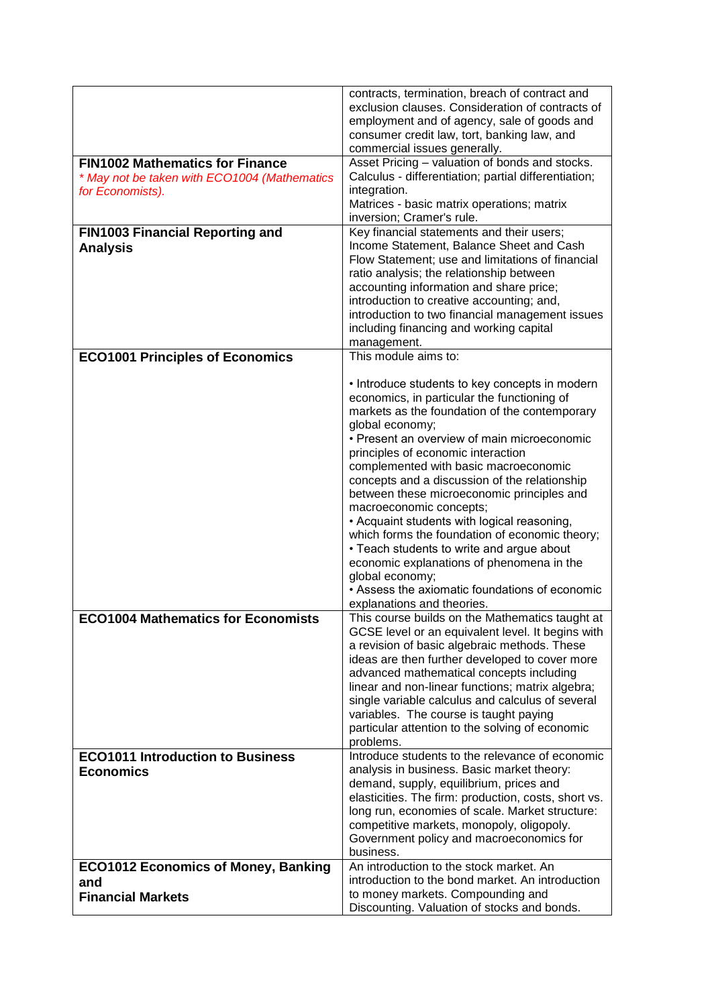|                                                                                                            | contracts, termination, breach of contract and<br>exclusion clauses. Consideration of contracts of<br>employment and of agency, sale of goods and<br>consumer credit law, tort, banking law, and<br>commercial issues generally.                                                                                                                                                                                                                                                                                                                                                                                                                                                                                                                                           |
|------------------------------------------------------------------------------------------------------------|----------------------------------------------------------------------------------------------------------------------------------------------------------------------------------------------------------------------------------------------------------------------------------------------------------------------------------------------------------------------------------------------------------------------------------------------------------------------------------------------------------------------------------------------------------------------------------------------------------------------------------------------------------------------------------------------------------------------------------------------------------------------------|
| <b>FIN1002 Mathematics for Finance</b><br>* May not be taken with ECO1004 (Mathematics<br>for Economists). | Asset Pricing - valuation of bonds and stocks.<br>Calculus - differentiation; partial differentiation;<br>integration.<br>Matrices - basic matrix operations; matrix<br>inversion; Cramer's rule.                                                                                                                                                                                                                                                                                                                                                                                                                                                                                                                                                                          |
| FIN1003 Financial Reporting and<br><b>Analysis</b>                                                         | Key financial statements and their users;<br>Income Statement, Balance Sheet and Cash<br>Flow Statement; use and limitations of financial<br>ratio analysis; the relationship between<br>accounting information and share price;<br>introduction to creative accounting; and,<br>introduction to two financial management issues<br>including financing and working capital<br>management.                                                                                                                                                                                                                                                                                                                                                                                 |
| <b>ECO1001 Principles of Economics</b>                                                                     | This module aims to:                                                                                                                                                                                                                                                                                                                                                                                                                                                                                                                                                                                                                                                                                                                                                       |
| <b>ECO1004 Mathematics for Economists</b>                                                                  | • Introduce students to key concepts in modern<br>economics, in particular the functioning of<br>markets as the foundation of the contemporary<br>global economy;<br>• Present an overview of main microeconomic<br>principles of economic interaction<br>complemented with basic macroeconomic<br>concepts and a discussion of the relationship<br>between these microeconomic principles and<br>macroeconomic concepts;<br>• Acquaint students with logical reasoning,<br>which forms the foundation of economic theory;<br>• Teach students to write and argue about<br>economic explanations of phenomena in the<br>global economy;<br>• Assess the axiomatic foundations of economic<br>explanations and theories.<br>This course builds on the Mathematics taught at |
|                                                                                                            | GCSE level or an equivalent level. It begins with<br>a revision of basic algebraic methods. These<br>ideas are then further developed to cover more<br>advanced mathematical concepts including<br>linear and non-linear functions; matrix algebra;<br>single variable calculus and calculus of several<br>variables. The course is taught paying<br>particular attention to the solving of economic<br>problems.                                                                                                                                                                                                                                                                                                                                                          |
| <b>ECO1011 Introduction to Business</b><br><b>Economics</b>                                                | Introduce students to the relevance of economic<br>analysis in business. Basic market theory:<br>demand, supply, equilibrium, prices and<br>elasticities. The firm: production, costs, short vs.<br>long run, economies of scale. Market structure:<br>competitive markets, monopoly, oligopoly.<br>Government policy and macroeconomics for<br>business.                                                                                                                                                                                                                                                                                                                                                                                                                  |
| <b>ECO1012 Economics of Money, Banking</b>                                                                 | An introduction to the stock market. An<br>introduction to the bond market. An introduction                                                                                                                                                                                                                                                                                                                                                                                                                                                                                                                                                                                                                                                                                |
| and<br><b>Financial Markets</b>                                                                            | to money markets. Compounding and<br>Discounting. Valuation of stocks and bonds.                                                                                                                                                                                                                                                                                                                                                                                                                                                                                                                                                                                                                                                                                           |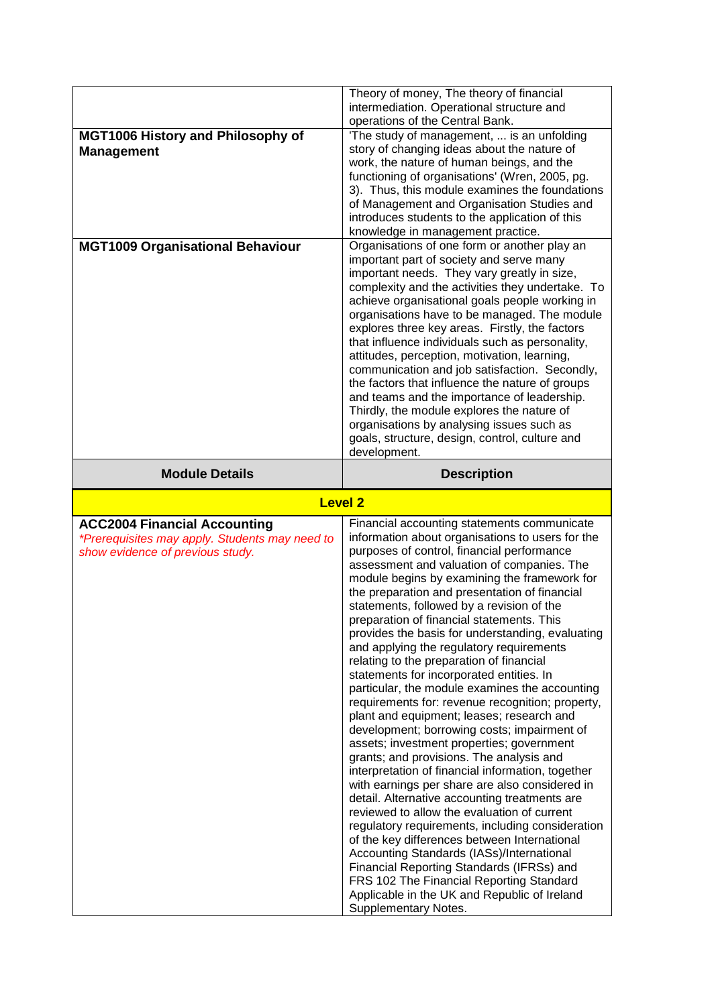|                                                                                                          | intermediation. Operational structure and                                                                                                                                                                                                                                                                                                                                                                                                                                                                                                                                      |
|----------------------------------------------------------------------------------------------------------|--------------------------------------------------------------------------------------------------------------------------------------------------------------------------------------------------------------------------------------------------------------------------------------------------------------------------------------------------------------------------------------------------------------------------------------------------------------------------------------------------------------------------------------------------------------------------------|
|                                                                                                          | operations of the Central Bank.                                                                                                                                                                                                                                                                                                                                                                                                                                                                                                                                                |
| <b>MGT1006 History and Philosophy of</b><br><b>Management</b><br><b>MGT1009 Organisational Behaviour</b> | 'The study of management,  is an unfolding<br>story of changing ideas about the nature of<br>work, the nature of human beings, and the<br>functioning of organisations' (Wren, 2005, pg.<br>3). Thus, this module examines the foundations<br>of Management and Organisation Studies and<br>introduces students to the application of this<br>knowledge in management practice.<br>Organisations of one form or another play an<br>important part of society and serve many<br>important needs. They vary greatly in size,<br>complexity and the activities they undertake. To |
|                                                                                                          | achieve organisational goals people working in<br>organisations have to be managed. The module<br>explores three key areas. Firstly, the factors<br>that influence individuals such as personality,<br>attitudes, perception, motivation, learning,<br>communication and job satisfaction. Secondly,<br>the factors that influence the nature of groups<br>and teams and the importance of leadership.<br>Thirdly, the module explores the nature of<br>organisations by analysing issues such as<br>goals, structure, design, control, culture and<br>development.            |
| <b>Module Details</b>                                                                                    | <b>Description</b>                                                                                                                                                                                                                                                                                                                                                                                                                                                                                                                                                             |
| <b>Level 2</b>                                                                                           |                                                                                                                                                                                                                                                                                                                                                                                                                                                                                                                                                                                |
| <b>ACC2004 Financial Accounting</b>                                                                      | Financial accounting statements communicate                                                                                                                                                                                                                                                                                                                                                                                                                                                                                                                                    |
| *Prerequisites may apply. Students may need to<br>show evidence of previous study.                       | information about organisations to users for the<br>purposes of control, financial performance<br>assessment and valuation of companies. The<br>module begins by examining the framework for<br>the preparation and presentation of financial                                                                                                                                                                                                                                                                                                                                  |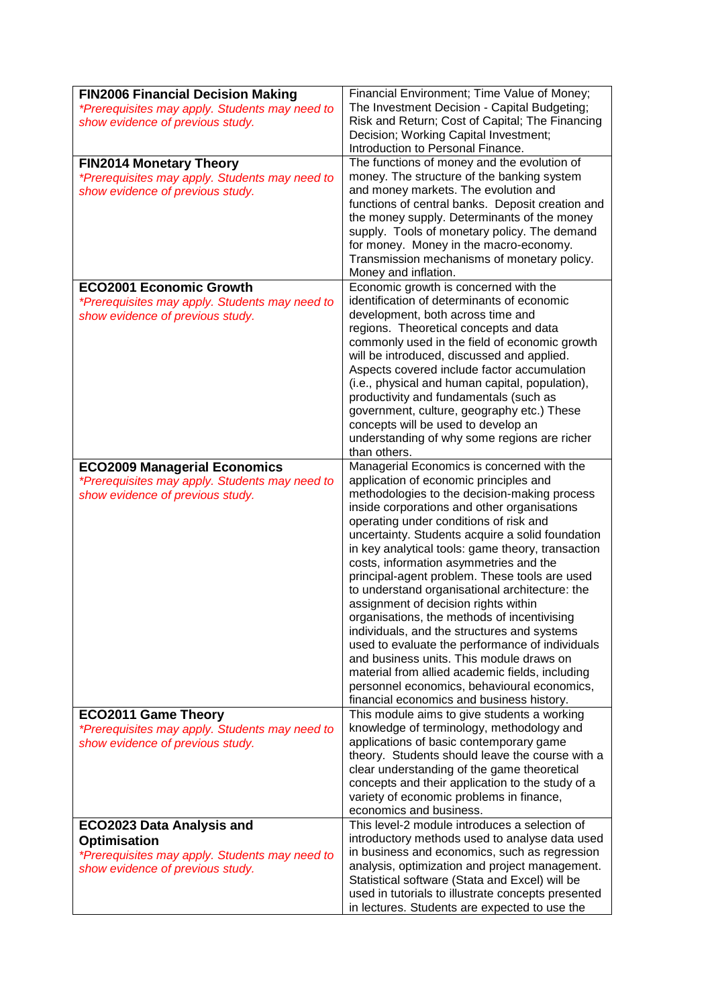| <b>FIN2006 Financial Decision Making</b><br>*Prerequisites may apply. Students may need to                                             | Financial Environment; Time Value of Money;<br>The Investment Decision - Capital Budgeting;                                                                                                                                                                                                                                                                                                                                                                                                                                                                                                                                                                                                                                                                                                                                                                              |
|----------------------------------------------------------------------------------------------------------------------------------------|--------------------------------------------------------------------------------------------------------------------------------------------------------------------------------------------------------------------------------------------------------------------------------------------------------------------------------------------------------------------------------------------------------------------------------------------------------------------------------------------------------------------------------------------------------------------------------------------------------------------------------------------------------------------------------------------------------------------------------------------------------------------------------------------------------------------------------------------------------------------------|
| show evidence of previous study.                                                                                                       | Risk and Return; Cost of Capital; The Financing<br>Decision; Working Capital Investment;                                                                                                                                                                                                                                                                                                                                                                                                                                                                                                                                                                                                                                                                                                                                                                                 |
|                                                                                                                                        | Introduction to Personal Finance.                                                                                                                                                                                                                                                                                                                                                                                                                                                                                                                                                                                                                                                                                                                                                                                                                                        |
| <b>FIN2014 Monetary Theory</b><br>*Prerequisites may apply. Students may need to<br>show evidence of previous study.                   | The functions of money and the evolution of<br>money. The structure of the banking system<br>and money markets. The evolution and<br>functions of central banks. Deposit creation and<br>the money supply. Determinants of the money<br>supply. Tools of monetary policy. The demand<br>for money. Money in the macro-economy.<br>Transmission mechanisms of monetary policy.<br>Money and inflation.                                                                                                                                                                                                                                                                                                                                                                                                                                                                    |
| <b>ECO2001 Economic Growth</b>                                                                                                         | Economic growth is concerned with the                                                                                                                                                                                                                                                                                                                                                                                                                                                                                                                                                                                                                                                                                                                                                                                                                                    |
| *Prerequisites may apply. Students may need to<br>show evidence of previous study.                                                     | identification of determinants of economic<br>development, both across time and<br>regions. Theoretical concepts and data<br>commonly used in the field of economic growth<br>will be introduced, discussed and applied.<br>Aspects covered include factor accumulation<br>(i.e., physical and human capital, population),<br>productivity and fundamentals (such as<br>government, culture, geography etc.) These<br>concepts will be used to develop an<br>understanding of why some regions are richer<br>than others.                                                                                                                                                                                                                                                                                                                                                |
| <b>ECO2009 Managerial Economics</b>                                                                                                    | Managerial Economics is concerned with the                                                                                                                                                                                                                                                                                                                                                                                                                                                                                                                                                                                                                                                                                                                                                                                                                               |
| *Prerequisites may apply. Students may need to<br>show evidence of previous study.<br><b>ECO2011 Game Theory</b>                       | application of economic principles and<br>methodologies to the decision-making process<br>inside corporations and other organisations<br>operating under conditions of risk and<br>uncertainty. Students acquire a solid foundation<br>in key analytical tools: game theory, transaction<br>costs, information asymmetries and the<br>principal-agent problem. These tools are used<br>to understand organisational architecture: the<br>assignment of decision rights within<br>organisations, the methods of incentivising<br>individuals, and the structures and systems<br>used to evaluate the performance of individuals<br>and business units. This module draws on<br>material from allied academic fields, including<br>personnel economics, behavioural economics,<br>financial economics and business history.<br>This module aims to give students a working |
| *Prerequisites may apply. Students may need to<br>show evidence of previous study.                                                     | knowledge of terminology, methodology and<br>applications of basic contemporary game<br>theory. Students should leave the course with a<br>clear understanding of the game theoretical<br>concepts and their application to the study of a<br>variety of economic problems in finance,<br>economics and business.                                                                                                                                                                                                                                                                                                                                                                                                                                                                                                                                                        |
| ECO2023 Data Analysis and<br><b>Optimisation</b><br>*Prerequisites may apply. Students may need to<br>show evidence of previous study. | This level-2 module introduces a selection of<br>introductory methods used to analyse data used<br>in business and economics, such as regression<br>analysis, optimization and project management.<br>Statistical software (Stata and Excel) will be<br>used in tutorials to illustrate concepts presented<br>in lectures. Students are expected to use the                                                                                                                                                                                                                                                                                                                                                                                                                                                                                                              |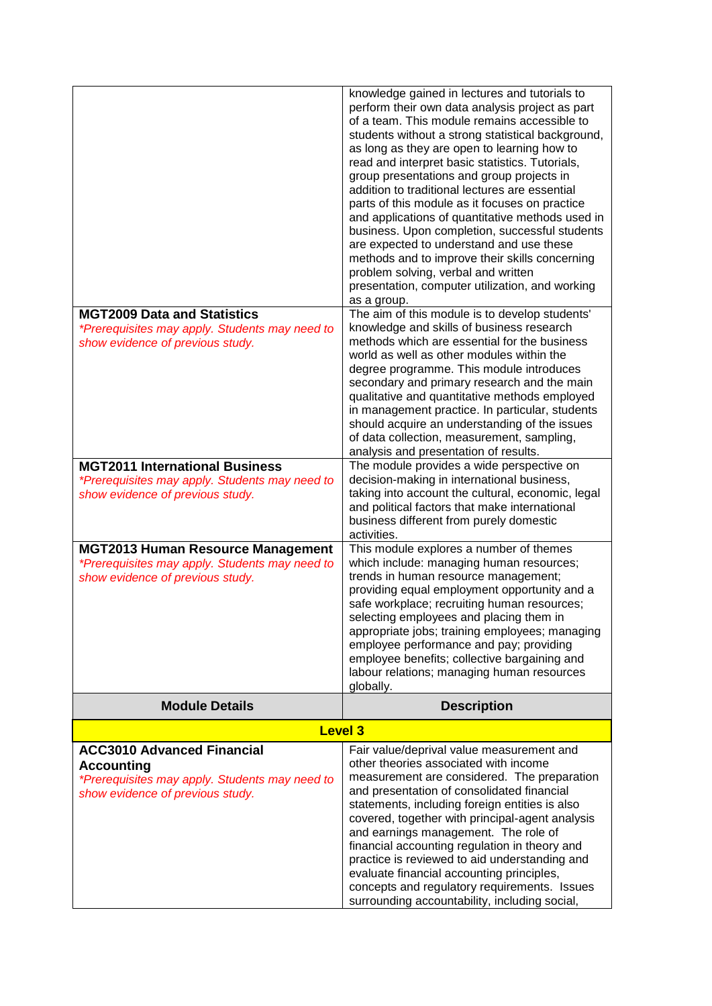|                                                                                                                                              | knowledge gained in lectures and tutorials to<br>perform their own data analysis project as part<br>of a team. This module remains accessible to<br>students without a strong statistical background,<br>as long as they are open to learning how to<br>read and interpret basic statistics. Tutorials,<br>group presentations and group projects in<br>addition to traditional lectures are essential<br>parts of this module as it focuses on practice<br>and applications of quantitative methods used in<br>business. Upon completion, successful students<br>are expected to understand and use these<br>methods and to improve their skills concerning<br>problem solving, verbal and written<br>presentation, computer utilization, and working<br>as a group. |
|----------------------------------------------------------------------------------------------------------------------------------------------|-----------------------------------------------------------------------------------------------------------------------------------------------------------------------------------------------------------------------------------------------------------------------------------------------------------------------------------------------------------------------------------------------------------------------------------------------------------------------------------------------------------------------------------------------------------------------------------------------------------------------------------------------------------------------------------------------------------------------------------------------------------------------|
| <b>MGT2009 Data and Statistics</b><br>*Prerequisites may apply. Students may need to<br>show evidence of previous study.                     | The aim of this module is to develop students'<br>knowledge and skills of business research<br>methods which are essential for the business<br>world as well as other modules within the<br>degree programme. This module introduces<br>secondary and primary research and the main<br>qualitative and quantitative methods employed<br>in management practice. In particular, students<br>should acquire an understanding of the issues<br>of data collection, measurement, sampling,<br>analysis and presentation of results.                                                                                                                                                                                                                                       |
| <b>MGT2011 International Business</b><br>*Prerequisites may apply. Students may need to<br>show evidence of previous study.                  | The module provides a wide perspective on<br>decision-making in international business,<br>taking into account the cultural, economic, legal<br>and political factors that make international<br>business different from purely domestic<br>activities.                                                                                                                                                                                                                                                                                                                                                                                                                                                                                                               |
| <b>MGT2013 Human Resource Management</b><br>*Prerequisites may apply. Students may need to<br>show evidence of previous study.               | This module explores a number of themes<br>which include: managing human resources;<br>trends in human resource management;<br>providing equal employment opportunity and a<br>safe workplace; recruiting human resources;<br>selecting employees and placing them in<br>appropriate jobs; training employees; managing<br>employee performance and pay; providing<br>employee benefits; collective bargaining and<br>labour relations; managing human resources<br>globally.                                                                                                                                                                                                                                                                                         |
| <b>Module Details</b>                                                                                                                        | <b>Description</b>                                                                                                                                                                                                                                                                                                                                                                                                                                                                                                                                                                                                                                                                                                                                                    |
|                                                                                                                                              | <b>Level 3</b>                                                                                                                                                                                                                                                                                                                                                                                                                                                                                                                                                                                                                                                                                                                                                        |
| <b>ACC3010 Advanced Financial</b><br><b>Accounting</b><br>*Prerequisites may apply. Students may need to<br>show evidence of previous study. | Fair value/deprival value measurement and<br>other theories associated with income<br>measurement are considered. The preparation<br>and presentation of consolidated financial<br>statements, including foreign entities is also<br>covered, together with principal-agent analysis<br>and earnings management. The role of<br>financial accounting regulation in theory and<br>practice is reviewed to aid understanding and<br>evaluate financial accounting principles,<br>concepts and regulatory requirements. Issues<br>surrounding accountability, including social,                                                                                                                                                                                          |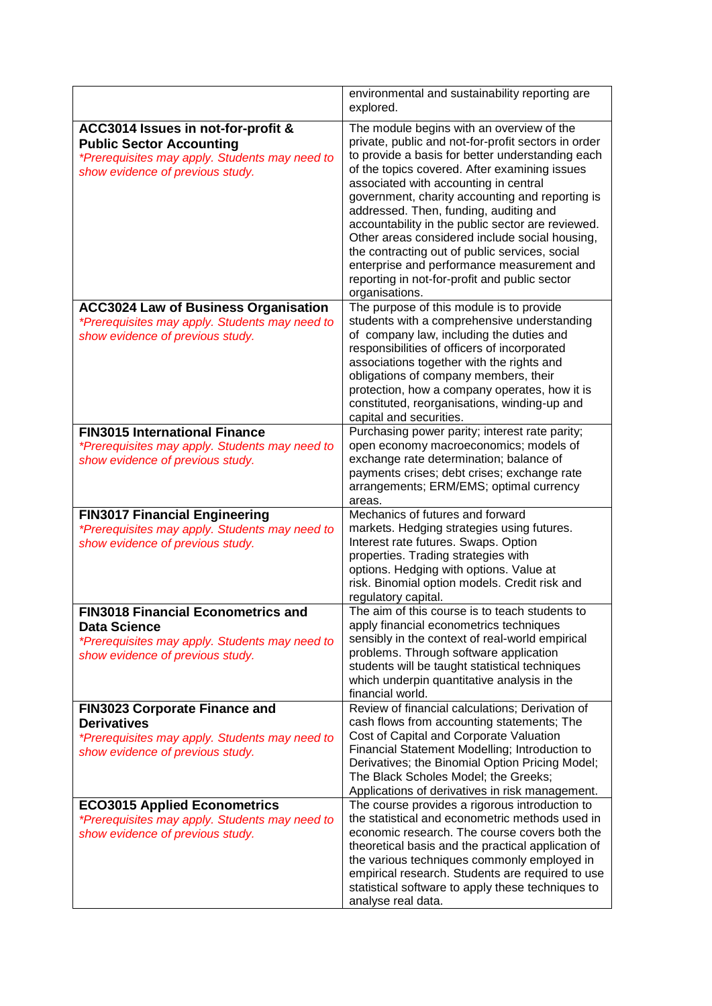|                                                                                                                                                             | environmental and sustainability reporting are<br>explored.                                                                                                                                                                                                                                                                                                                                                                                                                                                                                                                                                           |
|-------------------------------------------------------------------------------------------------------------------------------------------------------------|-----------------------------------------------------------------------------------------------------------------------------------------------------------------------------------------------------------------------------------------------------------------------------------------------------------------------------------------------------------------------------------------------------------------------------------------------------------------------------------------------------------------------------------------------------------------------------------------------------------------------|
| ACC3014 Issues in not-for-profit &<br><b>Public Sector Accounting</b><br>*Prerequisites may apply. Students may need to<br>show evidence of previous study. | The module begins with an overview of the<br>private, public and not-for-profit sectors in order<br>to provide a basis for better understanding each<br>of the topics covered. After examining issues<br>associated with accounting in central<br>government, charity accounting and reporting is<br>addressed. Then, funding, auditing and<br>accountability in the public sector are reviewed.<br>Other areas considered include social housing,<br>the contracting out of public services, social<br>enterprise and performance measurement and<br>reporting in not-for-profit and public sector<br>organisations. |
| <b>ACC3024 Law of Business Organisation</b><br>*Prerequisites may apply. Students may need to<br>show evidence of previous study.                           | The purpose of this module is to provide<br>students with a comprehensive understanding<br>of company law, including the duties and<br>responsibilities of officers of incorporated<br>associations together with the rights and<br>obligations of company members, their<br>protection, how a company operates, how it is<br>constituted, reorganisations, winding-up and<br>capital and securities.                                                                                                                                                                                                                 |
| <b>FIN3015 International Finance</b><br>*Prerequisites may apply. Students may need to<br>show evidence of previous study.                                  | Purchasing power parity; interest rate parity;<br>open economy macroeconomics; models of<br>exchange rate determination; balance of<br>payments crises; debt crises; exchange rate<br>arrangements; ERM/EMS; optimal currency<br>areas.                                                                                                                                                                                                                                                                                                                                                                               |
| <b>FIN3017 Financial Engineering</b><br>*Prerequisites may apply. Students may need to<br>show evidence of previous study.                                  | Mechanics of futures and forward<br>markets. Hedging strategies using futures.<br>Interest rate futures. Swaps. Option<br>properties. Trading strategies with<br>options. Hedging with options. Value at<br>risk. Binomial option models. Credit risk and<br>regulatory capital.                                                                                                                                                                                                                                                                                                                                      |
| <b>FIN3018 Financial Econometrics and</b><br><b>Data Science</b><br>*Prerequisites may apply. Students may need to<br>show evidence of previous study.      | The aim of this course is to teach students to<br>apply financial econometrics techniques<br>sensibly in the context of real-world empirical<br>problems. Through software application<br>students will be taught statistical techniques<br>which underpin quantitative analysis in the<br>financial world.                                                                                                                                                                                                                                                                                                           |
| <b>FIN3023 Corporate Finance and</b><br><b>Derivatives</b><br>*Prerequisites may apply. Students may need to<br>show evidence of previous study.            | Review of financial calculations; Derivation of<br>cash flows from accounting statements; The<br>Cost of Capital and Corporate Valuation<br>Financial Statement Modelling; Introduction to<br>Derivatives; the Binomial Option Pricing Model;<br>The Black Scholes Model; the Greeks;<br>Applications of derivatives in risk management.                                                                                                                                                                                                                                                                              |
| <b>ECO3015 Applied Econometrics</b><br>*Prerequisites may apply. Students may need to<br>show evidence of previous study.                                   | The course provides a rigorous introduction to<br>the statistical and econometric methods used in<br>economic research. The course covers both the<br>theoretical basis and the practical application of<br>the various techniques commonly employed in<br>empirical research. Students are required to use<br>statistical software to apply these techniques to<br>analyse real data.                                                                                                                                                                                                                                |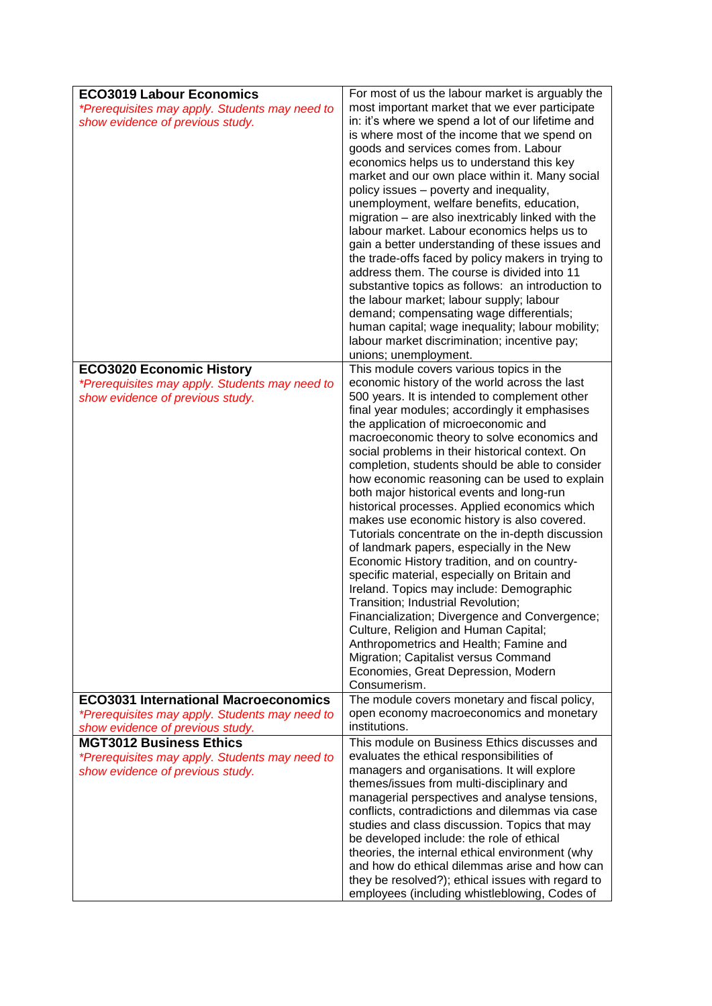| <b>ECO3019 Labour Economics</b>                                                    | For most of us the labour market is arguably the                                                                                                                                                                                                                                                                                                                                                                                                                                                                                                                                                                                                                                                                                                                                                                                                                                                                                                                                                                                                               |
|------------------------------------------------------------------------------------|----------------------------------------------------------------------------------------------------------------------------------------------------------------------------------------------------------------------------------------------------------------------------------------------------------------------------------------------------------------------------------------------------------------------------------------------------------------------------------------------------------------------------------------------------------------------------------------------------------------------------------------------------------------------------------------------------------------------------------------------------------------------------------------------------------------------------------------------------------------------------------------------------------------------------------------------------------------------------------------------------------------------------------------------------------------|
| *Prerequisites may apply. Students may need to<br>show evidence of previous study. | most important market that we ever participate<br>in: it's where we spend a lot of our lifetime and<br>is where most of the income that we spend on<br>goods and services comes from. Labour<br>economics helps us to understand this key<br>market and our own place within it. Many social<br>policy issues - poverty and inequality,<br>unemployment, welfare benefits, education,<br>migration – are also inextricably linked with the<br>labour market. Labour economics helps us to<br>gain a better understanding of these issues and<br>the trade-offs faced by policy makers in trying to<br>address them. The course is divided into 11<br>substantive topics as follows: an introduction to<br>the labour market; labour supply; labour<br>demand; compensating wage differentials;<br>human capital; wage inequality; labour mobility;<br>labour market discrimination; incentive pay;<br>unions; unemployment.                                                                                                                                    |
| <b>ECO3020 Economic History</b>                                                    | This module covers various topics in the                                                                                                                                                                                                                                                                                                                                                                                                                                                                                                                                                                                                                                                                                                                                                                                                                                                                                                                                                                                                                       |
| *Prerequisites may apply. Students may need to<br>show evidence of previous study. | economic history of the world across the last<br>500 years. It is intended to complement other<br>final year modules; accordingly it emphasises<br>the application of microeconomic and<br>macroeconomic theory to solve economics and<br>social problems in their historical context. On<br>completion, students should be able to consider<br>how economic reasoning can be used to explain<br>both major historical events and long-run<br>historical processes. Applied economics which<br>makes use economic history is also covered.<br>Tutorials concentrate on the in-depth discussion<br>of landmark papers, especially in the New<br>Economic History tradition, and on country-<br>specific material, especially on Britain and<br>Ireland. Topics may include: Demographic<br>Transition; Industrial Revolution;<br>Financialization; Divergence and Convergence;<br>Culture, Religion and Human Capital;<br>Anthropometrics and Health; Famine and<br>Migration; Capitalist versus Command<br>Economies, Great Depression, Modern<br>Consumerism. |
| <b>ECO3031 International Macroeconomics</b>                                        | The module covers monetary and fiscal policy,                                                                                                                                                                                                                                                                                                                                                                                                                                                                                                                                                                                                                                                                                                                                                                                                                                                                                                                                                                                                                  |
| *Prerequisites may apply. Students may need to                                     | open economy macroeconomics and monetary                                                                                                                                                                                                                                                                                                                                                                                                                                                                                                                                                                                                                                                                                                                                                                                                                                                                                                                                                                                                                       |
| show evidence of previous study.                                                   | institutions.                                                                                                                                                                                                                                                                                                                                                                                                                                                                                                                                                                                                                                                                                                                                                                                                                                                                                                                                                                                                                                                  |
| <b>MGT3012 Business Ethics</b>                                                     | This module on Business Ethics discusses and                                                                                                                                                                                                                                                                                                                                                                                                                                                                                                                                                                                                                                                                                                                                                                                                                                                                                                                                                                                                                   |
| *Prerequisites may apply. Students may need to<br>show evidence of previous study. | evaluates the ethical responsibilities of<br>managers and organisations. It will explore<br>themes/issues from multi-disciplinary and<br>managerial perspectives and analyse tensions,<br>conflicts, contradictions and dilemmas via case<br>studies and class discussion. Topics that may<br>be developed include: the role of ethical<br>theories, the internal ethical environment (why<br>and how do ethical dilemmas arise and how can<br>they be resolved?); ethical issues with regard to<br>employees (including whistleblowing, Codes of                                                                                                                                                                                                                                                                                                                                                                                                                                                                                                              |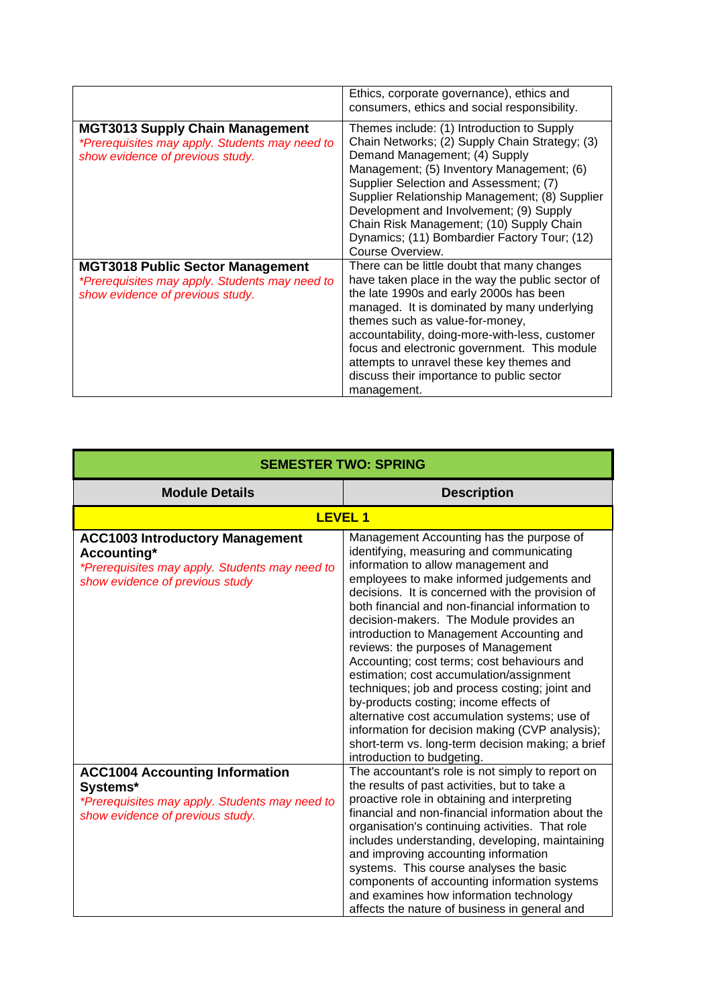|                                                                                                                               | Ethics, corporate governance), ethics and<br>consumers, ethics and social responsibility.                                                                                                                                                                                                                                                                                                                                              |
|-------------------------------------------------------------------------------------------------------------------------------|----------------------------------------------------------------------------------------------------------------------------------------------------------------------------------------------------------------------------------------------------------------------------------------------------------------------------------------------------------------------------------------------------------------------------------------|
| <b>MGT3013 Supply Chain Management</b><br>*Prerequisites may apply. Students may need to<br>show evidence of previous study.  | Themes include: (1) Introduction to Supply<br>Chain Networks; (2) Supply Chain Strategy; (3)<br>Demand Management; (4) Supply<br>Management; (5) Inventory Management; (6)<br>Supplier Selection and Assessment; (7)<br>Supplier Relationship Management; (8) Supplier<br>Development and Involvement; (9) Supply<br>Chain Risk Management; (10) Supply Chain<br>Dynamics; (11) Bombardier Factory Tour; (12)<br>Course Overview.      |
| <b>MGT3018 Public Sector Management</b><br>*Prerequisites may apply. Students may need to<br>show evidence of previous study. | There can be little doubt that many changes<br>have taken place in the way the public sector of<br>the late 1990s and early 2000s has been<br>managed. It is dominated by many underlying<br>themes such as value-for-money,<br>accountability, doing-more-with-less, customer<br>focus and electronic government. This module<br>attempts to unravel these key themes and<br>discuss their importance to public sector<br>management. |

| <b>SEMESTER TWO: SPRING</b>                                                                                                                |                                                                                                                                                                                                                                                                                                                                                                                                                                                                                                                                                                                                                                                                                                                                                                                              |
|--------------------------------------------------------------------------------------------------------------------------------------------|----------------------------------------------------------------------------------------------------------------------------------------------------------------------------------------------------------------------------------------------------------------------------------------------------------------------------------------------------------------------------------------------------------------------------------------------------------------------------------------------------------------------------------------------------------------------------------------------------------------------------------------------------------------------------------------------------------------------------------------------------------------------------------------------|
| <b>Module Details</b>                                                                                                                      | <b>Description</b>                                                                                                                                                                                                                                                                                                                                                                                                                                                                                                                                                                                                                                                                                                                                                                           |
| <b>LEVEL 1</b>                                                                                                                             |                                                                                                                                                                                                                                                                                                                                                                                                                                                                                                                                                                                                                                                                                                                                                                                              |
| <b>ACC1003 Introductory Management</b><br>Accounting*<br>*Prerequisites may apply. Students may need to<br>show evidence of previous study | Management Accounting has the purpose of<br>identifying, measuring and communicating<br>information to allow management and<br>employees to make informed judgements and<br>decisions. It is concerned with the provision of<br>both financial and non-financial information to<br>decision-makers. The Module provides an<br>introduction to Management Accounting and<br>reviews: the purposes of Management<br>Accounting; cost terms; cost behaviours and<br>estimation; cost accumulation/assignment<br>techniques; job and process costing; joint and<br>by-products costing; income effects of<br>alternative cost accumulation systems; use of<br>information for decision making (CVP analysis);<br>short-term vs. long-term decision making; a brief<br>introduction to budgeting. |
| <b>ACC1004 Accounting Information</b><br>Systems*<br>*Prerequisites may apply. Students may need to<br>show evidence of previous study.    | The accountant's role is not simply to report on<br>the results of past activities, but to take a<br>proactive role in obtaining and interpreting<br>financial and non-financial information about the<br>organisation's continuing activities. That role<br>includes understanding, developing, maintaining<br>and improving accounting information<br>systems. This course analyses the basic<br>components of accounting information systems<br>and examines how information technology<br>affects the nature of business in general and                                                                                                                                                                                                                                                  |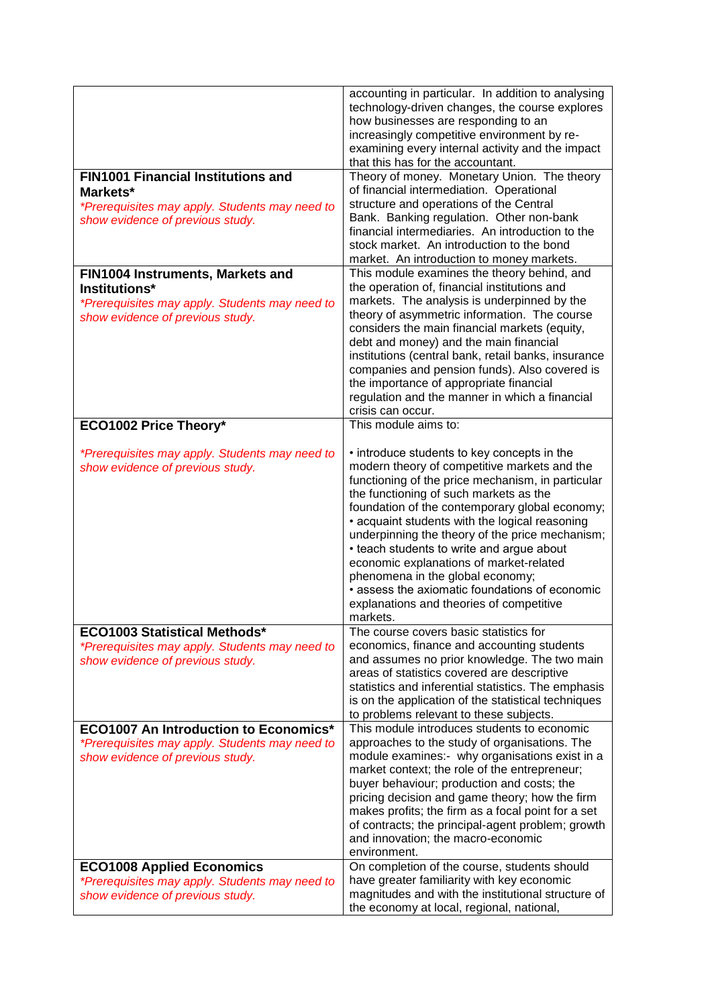|                                                                                                                                             | accounting in particular. In addition to analysing<br>technology-driven changes, the course explores<br>how businesses are responding to an<br>increasingly competitive environment by re-<br>examining every internal activity and the impact<br>that this has for the accountant.                                                                                                                                                                                                                                                                                                     |
|---------------------------------------------------------------------------------------------------------------------------------------------|-----------------------------------------------------------------------------------------------------------------------------------------------------------------------------------------------------------------------------------------------------------------------------------------------------------------------------------------------------------------------------------------------------------------------------------------------------------------------------------------------------------------------------------------------------------------------------------------|
| <b>FIN1001 Financial Institutions and</b><br>Markets*<br>*Prerequisites may apply. Students may need to<br>show evidence of previous study. | Theory of money. Monetary Union. The theory<br>of financial intermediation. Operational<br>structure and operations of the Central<br>Bank. Banking regulation. Other non-bank<br>financial intermediaries. An introduction to the<br>stock market. An introduction to the bond<br>market. An introduction to money markets.                                                                                                                                                                                                                                                            |
| FIN1004 Instruments, Markets and<br>Institutions*<br>*Prerequisites may apply. Students may need to<br>show evidence of previous study.     | This module examines the theory behind, and<br>the operation of, financial institutions and<br>markets. The analysis is underpinned by the<br>theory of asymmetric information. The course<br>considers the main financial markets (equity,<br>debt and money) and the main financial<br>institutions (central bank, retail banks, insurance<br>companies and pension funds). Also covered is<br>the importance of appropriate financial<br>regulation and the manner in which a financial<br>crisis can occur.                                                                         |
| ECO1002 Price Theory*                                                                                                                       | This module aims to:                                                                                                                                                                                                                                                                                                                                                                                                                                                                                                                                                                    |
| *Prerequisites may apply. Students may need to<br>show evidence of previous study.                                                          | • introduce students to key concepts in the<br>modern theory of competitive markets and the<br>functioning of the price mechanism, in particular<br>the functioning of such markets as the<br>foundation of the contemporary global economy;<br>• acquaint students with the logical reasoning<br>underpinning the theory of the price mechanism;<br>• teach students to write and argue about<br>economic explanations of market-related<br>phenomena in the global economy;<br>• assess the axiomatic foundations of economic<br>explanations and theories of competitive<br>markets. |
| <b>ECO1003 Statistical Methods*</b><br>*Prerequisites may apply. Students may need to<br>show evidence of previous study.                   | The course covers basic statistics for<br>economics, finance and accounting students<br>and assumes no prior knowledge. The two main<br>areas of statistics covered are descriptive<br>statistics and inferential statistics. The emphasis<br>is on the application of the statistical techniques<br>to problems relevant to these subjects.                                                                                                                                                                                                                                            |
| <b>ECO1007 An Introduction to Economics*</b><br>*Prerequisites may apply. Students may need to<br>show evidence of previous study.          | This module introduces students to economic<br>approaches to the study of organisations. The<br>module examines:- why organisations exist in a<br>market context; the role of the entrepreneur;<br>buyer behaviour; production and costs; the<br>pricing decision and game theory; how the firm<br>makes profits; the firm as a focal point for a set<br>of contracts; the principal-agent problem; growth<br>and innovation; the macro-economic<br>environment.                                                                                                                        |
| <b>ECO1008 Applied Economics</b><br>*Prerequisites may apply. Students may need to<br>show evidence of previous study.                      | On completion of the course, students should<br>have greater familiarity with key economic<br>magnitudes and with the institutional structure of<br>the economy at local, regional, national,                                                                                                                                                                                                                                                                                                                                                                                           |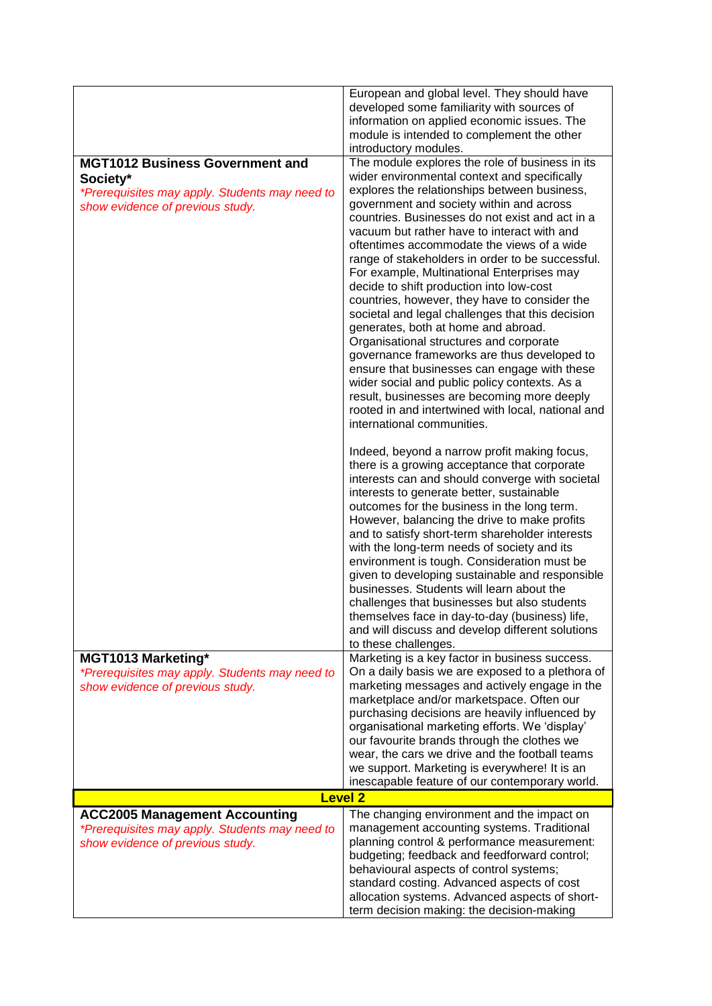|                                                                                                                                          | European and global level. They should have<br>developed some familiarity with sources of<br>information on applied economic issues. The<br>module is intended to complement the other<br>introductory modules.                                                                                                                                                                                                                                                                                                                                                                                                                                                                                                                                                                                                                                                                                                                                                     |
|------------------------------------------------------------------------------------------------------------------------------------------|---------------------------------------------------------------------------------------------------------------------------------------------------------------------------------------------------------------------------------------------------------------------------------------------------------------------------------------------------------------------------------------------------------------------------------------------------------------------------------------------------------------------------------------------------------------------------------------------------------------------------------------------------------------------------------------------------------------------------------------------------------------------------------------------------------------------------------------------------------------------------------------------------------------------------------------------------------------------|
| <b>MGT1012 Business Government and</b><br>Society*<br>*Prerequisites may apply. Students may need to<br>show evidence of previous study. | The module explores the role of business in its<br>wider environmental context and specifically<br>explores the relationships between business,<br>government and society within and across<br>countries. Businesses do not exist and act in a<br>vacuum but rather have to interact with and<br>oftentimes accommodate the views of a wide<br>range of stakeholders in order to be successful.<br>For example, Multinational Enterprises may<br>decide to shift production into low-cost<br>countries, however, they have to consider the<br>societal and legal challenges that this decision<br>generates, both at home and abroad.<br>Organisational structures and corporate<br>governance frameworks are thus developed to<br>ensure that businesses can engage with these<br>wider social and public policy contexts. As a<br>result, businesses are becoming more deeply<br>rooted in and intertwined with local, national and<br>international communities. |
|                                                                                                                                          | Indeed, beyond a narrow profit making focus,<br>there is a growing acceptance that corporate<br>interests can and should converge with societal<br>interests to generate better, sustainable<br>outcomes for the business in the long term.<br>However, balancing the drive to make profits<br>and to satisfy short-term shareholder interests<br>with the long-term needs of society and its<br>environment is tough. Consideration must be<br>given to developing sustainable and responsible<br>businesses. Students will learn about the<br>challenges that businesses but also students<br>themselves face in day-to-day (business) life,<br>and will discuss and develop different solutions<br>to these challenges.                                                                                                                                                                                                                                          |
| <b>MGT1013 Marketing*</b><br>*Prerequisites may apply. Students may need to<br>show evidence of previous study.                          | Marketing is a key factor in business success.<br>On a daily basis we are exposed to a plethora of<br>marketing messages and actively engage in the<br>marketplace and/or marketspace. Often our<br>purchasing decisions are heavily influenced by<br>organisational marketing efforts. We 'display'<br>our favourite brands through the clothes we<br>wear, the cars we drive and the football teams<br>we support. Marketing is everywhere! It is an<br>inescapable feature of our contemporary world.                                                                                                                                                                                                                                                                                                                                                                                                                                                            |
|                                                                                                                                          | <b>Level 2</b>                                                                                                                                                                                                                                                                                                                                                                                                                                                                                                                                                                                                                                                                                                                                                                                                                                                                                                                                                      |
| <b>ACC2005 Management Accounting</b><br>*Prerequisites may apply. Students may need to<br>show evidence of previous study.               | The changing environment and the impact on<br>management accounting systems. Traditional<br>planning control & performance measurement:<br>budgeting; feedback and feedforward control;<br>behavioural aspects of control systems;<br>standard costing. Advanced aspects of cost<br>allocation systems. Advanced aspects of short-                                                                                                                                                                                                                                                                                                                                                                                                                                                                                                                                                                                                                                  |
|                                                                                                                                          | term decision making: the decision-making                                                                                                                                                                                                                                                                                                                                                                                                                                                                                                                                                                                                                                                                                                                                                                                                                                                                                                                           |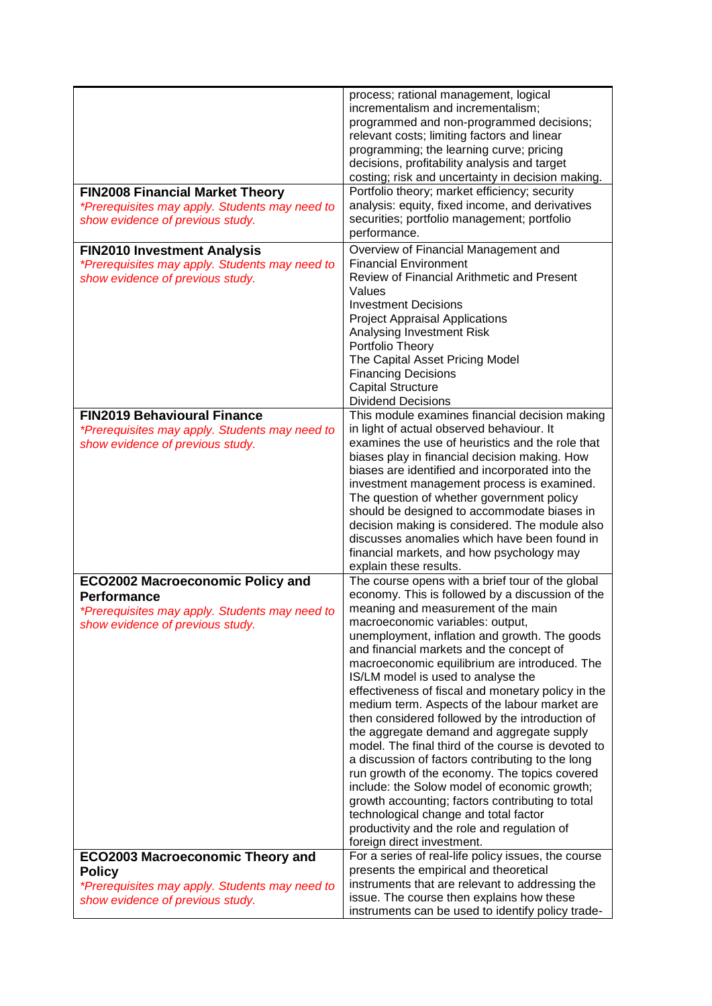|                                                                                    | process; rational management, logical                                                                |
|------------------------------------------------------------------------------------|------------------------------------------------------------------------------------------------------|
|                                                                                    | incrementalism and incrementalism;                                                                   |
|                                                                                    | programmed and non-programmed decisions;                                                             |
|                                                                                    | relevant costs; limiting factors and linear                                                          |
|                                                                                    | programming; the learning curve; pricing                                                             |
|                                                                                    | decisions, profitability analysis and target                                                         |
|                                                                                    | costing; risk and uncertainty in decision making.<br>Portfolio theory; market efficiency; security   |
| <b>FIN2008 Financial Market Theory</b>                                             | analysis: equity, fixed income, and derivatives                                                      |
| *Prerequisites may apply. Students may need to<br>show evidence of previous study. | securities; portfolio management; portfolio                                                          |
|                                                                                    | performance.                                                                                         |
| <b>FIN2010 Investment Analysis</b>                                                 | Overview of Financial Management and                                                                 |
| *Prerequisites may apply. Students may need to                                     | <b>Financial Environment</b>                                                                         |
| show evidence of previous study.                                                   | Review of Financial Arithmetic and Present                                                           |
|                                                                                    | Values                                                                                               |
|                                                                                    | <b>Investment Decisions</b>                                                                          |
|                                                                                    | <b>Project Appraisal Applications</b>                                                                |
|                                                                                    | Analysing Investment Risk                                                                            |
|                                                                                    | Portfolio Theory                                                                                     |
|                                                                                    | The Capital Asset Pricing Model                                                                      |
|                                                                                    | <b>Financing Decisions</b>                                                                           |
|                                                                                    | <b>Capital Structure</b>                                                                             |
|                                                                                    | <b>Dividend Decisions</b>                                                                            |
| <b>FIN2019 Behavioural Finance</b>                                                 | This module examines financial decision making<br>in light of actual observed behaviour. It          |
| *Prerequisites may apply. Students may need to<br>show evidence of previous study. | examines the use of heuristics and the role that                                                     |
|                                                                                    | biases play in financial decision making. How                                                        |
|                                                                                    | biases are identified and incorporated into the                                                      |
|                                                                                    | investment management process is examined.                                                           |
|                                                                                    | The question of whether government policy                                                            |
|                                                                                    | should be designed to accommodate biases in                                                          |
|                                                                                    | decision making is considered. The module also                                                       |
|                                                                                    | discusses anomalies which have been found in                                                         |
|                                                                                    | financial markets, and how psychology may                                                            |
|                                                                                    | explain these results.                                                                               |
| <b>ECO2002 Macroeconomic Policy and</b>                                            | The course opens with a brief tour of the global<br>economy. This is followed by a discussion of the |
| <b>Performance</b>                                                                 | meaning and measurement of the main                                                                  |
| *Prerequisites may apply. Students may need to<br>show evidence of previous study. | macroeconomic variables: output,                                                                     |
|                                                                                    | unemployment, inflation and growth. The goods                                                        |
|                                                                                    | and financial markets and the concept of                                                             |
|                                                                                    | macroeconomic equilibrium are introduced. The                                                        |
|                                                                                    | IS/LM model is used to analyse the                                                                   |
|                                                                                    | effectiveness of fiscal and monetary policy in the                                                   |
|                                                                                    | medium term. Aspects of the labour market are                                                        |
|                                                                                    | then considered followed by the introduction of                                                      |
|                                                                                    | the aggregate demand and aggregate supply<br>model. The final third of the course is devoted to      |
|                                                                                    | a discussion of factors contributing to the long                                                     |
|                                                                                    | run growth of the economy. The topics covered                                                        |
|                                                                                    | include: the Solow model of economic growth;                                                         |
|                                                                                    | growth accounting; factors contributing to total                                                     |
|                                                                                    | technological change and total factor                                                                |
|                                                                                    | productivity and the role and regulation of                                                          |
|                                                                                    | foreign direct investment.                                                                           |
| <b>ECO2003 Macroeconomic Theory and</b>                                            | For a series of real-life policy issues, the course                                                  |
| <b>Policy</b>                                                                      | presents the empirical and theoretical                                                               |
| *Prerequisites may apply. Students may need to                                     | instruments that are relevant to addressing the                                                      |
| show evidence of previous study.                                                   | issue. The course then explains how these<br>instruments can be used to identify policy trade-       |
|                                                                                    |                                                                                                      |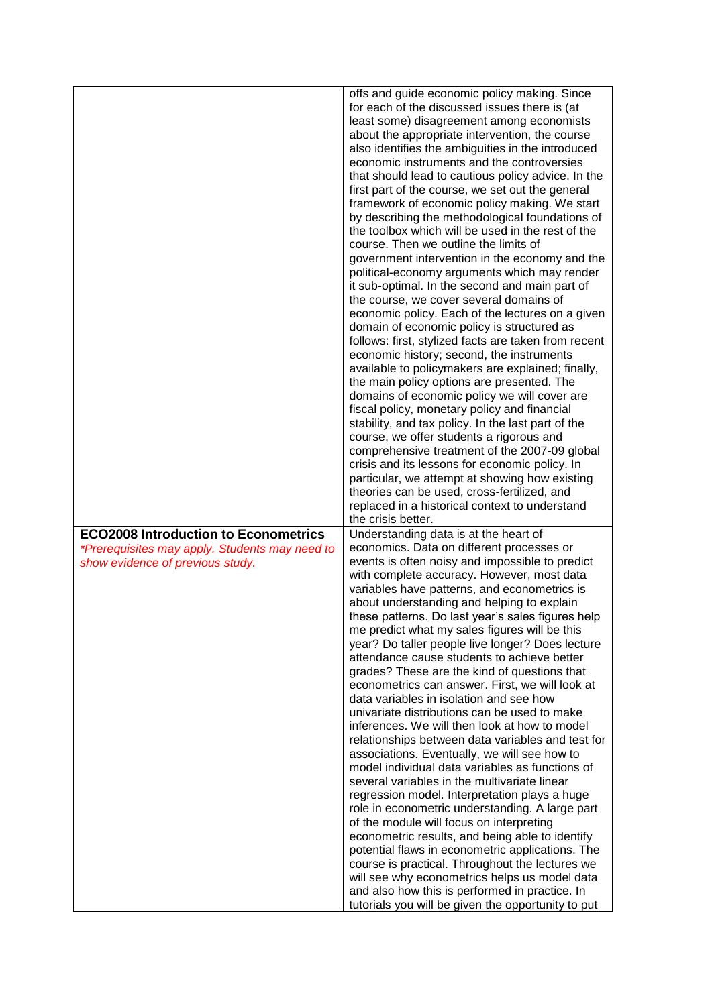|                                                | offs and guide economic policy making. Since<br>for each of the discussed issues there is (at       |
|------------------------------------------------|-----------------------------------------------------------------------------------------------------|
|                                                | least some) disagreement among economists<br>about the appropriate intervention, the course         |
|                                                | also identifies the ambiguities in the introduced                                                   |
|                                                | economic instruments and the controversies                                                          |
|                                                | that should lead to cautious policy advice. In the                                                  |
|                                                | first part of the course, we set out the general                                                    |
|                                                | framework of economic policy making. We start<br>by describing the methodological foundations of    |
|                                                | the toolbox which will be used in the rest of the                                                   |
|                                                | course. Then we outline the limits of<br>government intervention in the economy and the             |
|                                                | political-economy arguments which may render                                                        |
|                                                | it sub-optimal. In the second and main part of                                                      |
|                                                | the course, we cover several domains of                                                             |
|                                                | economic policy. Each of the lectures on a given<br>domain of economic policy is structured as      |
|                                                | follows: first, stylized facts are taken from recent                                                |
|                                                | economic history; second, the instruments                                                           |
|                                                | available to policymakers are explained; finally,                                                   |
|                                                | the main policy options are presented. The<br>domains of economic policy we will cover are          |
|                                                | fiscal policy, monetary policy and financial                                                        |
|                                                | stability, and tax policy. In the last part of the                                                  |
|                                                | course, we offer students a rigorous and                                                            |
|                                                | comprehensive treatment of the 2007-09 global<br>crisis and its lessons for economic policy. In     |
|                                                | particular, we attempt at showing how existing                                                      |
|                                                | theories can be used, cross-fertilized, and                                                         |
|                                                | replaced in a historical context to understand<br>the crisis better.                                |
| <b>ECO2008 Introduction to Econometrics</b>    | Understanding data is at the heart of                                                               |
| *Prerequisites may apply. Students may need to | economics. Data on different processes or                                                           |
| show evidence of previous study.               | events is often noisy and impossible to predict                                                     |
|                                                | with complete accuracy. However, most data<br>variables have patterns, and econometrics is          |
|                                                | about understanding and helping to explain                                                          |
|                                                | these patterns. Do last year's sales figures help                                                   |
|                                                | me predict what my sales figures will be this                                                       |
|                                                | year? Do taller people live longer? Does lecture<br>attendance cause students to achieve better     |
|                                                |                                                                                                     |
|                                                | grades? These are the kind of questions that                                                        |
|                                                | econometrics can answer. First, we will look at                                                     |
|                                                | data variables in isolation and see how                                                             |
|                                                | univariate distributions can be used to make                                                        |
|                                                | inferences. We will then look at how to model<br>relationships between data variables and test for  |
|                                                | associations. Eventually, we will see how to                                                        |
|                                                | model individual data variables as functions of                                                     |
|                                                | several variables in the multivariate linear<br>regression model. Interpretation plays a huge       |
|                                                | role in econometric understanding. A large part                                                     |
|                                                | of the module will focus on interpreting                                                            |
|                                                | econometric results, and being able to identify                                                     |
|                                                | potential flaws in econometric applications. The<br>course is practical. Throughout the lectures we |
|                                                | will see why econometrics helps us model data<br>and also how this is performed in practice. In     |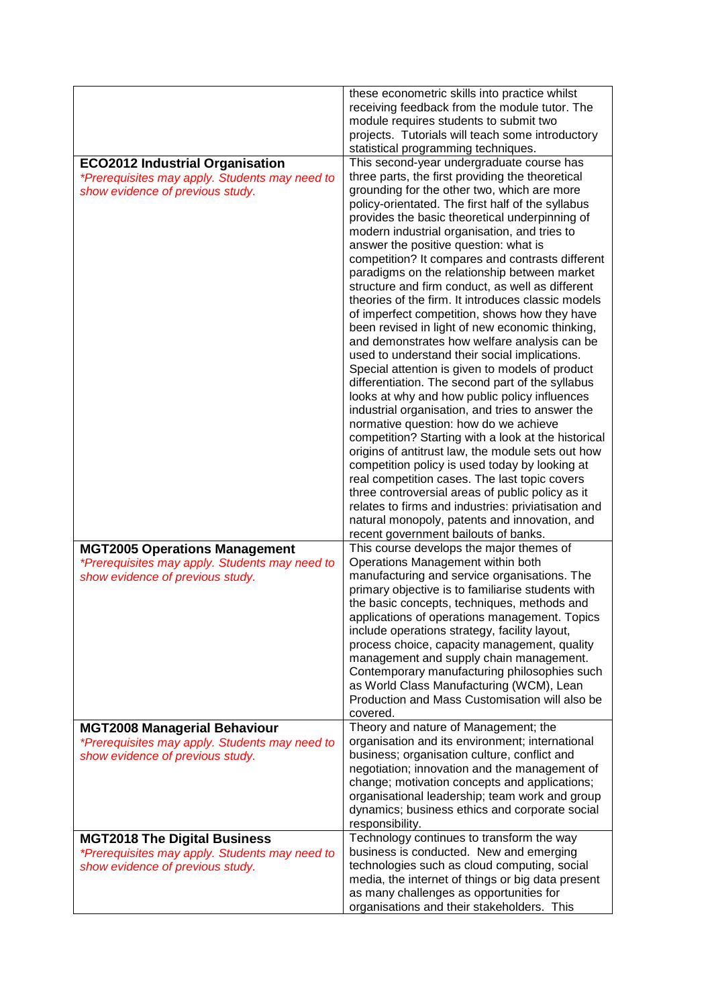|                                                                                                                              | these econometric skills into practice whilst<br>receiving feedback from the module tutor. The<br>module requires students to submit two<br>projects. Tutorials will teach some introductory<br>statistical programming techniques.                                                                                                                                                                                                                                                                                                                                                                                                                                                                                                                                                                                                                                                                                                                                                                                                                                                                                                                                                                                                                                                                                                                                                                                                     |
|------------------------------------------------------------------------------------------------------------------------------|-----------------------------------------------------------------------------------------------------------------------------------------------------------------------------------------------------------------------------------------------------------------------------------------------------------------------------------------------------------------------------------------------------------------------------------------------------------------------------------------------------------------------------------------------------------------------------------------------------------------------------------------------------------------------------------------------------------------------------------------------------------------------------------------------------------------------------------------------------------------------------------------------------------------------------------------------------------------------------------------------------------------------------------------------------------------------------------------------------------------------------------------------------------------------------------------------------------------------------------------------------------------------------------------------------------------------------------------------------------------------------------------------------------------------------------------|
| <b>ECO2012 Industrial Organisation</b><br>*Prerequisites may apply. Students may need to<br>show evidence of previous study. | This second-year undergraduate course has<br>three parts, the first providing the theoretical<br>grounding for the other two, which are more<br>policy-orientated. The first half of the syllabus<br>provides the basic theoretical underpinning of<br>modern industrial organisation, and tries to<br>answer the positive question: what is<br>competition? It compares and contrasts different<br>paradigms on the relationship between market<br>structure and firm conduct, as well as different<br>theories of the firm. It introduces classic models<br>of imperfect competition, shows how they have<br>been revised in light of new economic thinking,<br>and demonstrates how welfare analysis can be<br>used to understand their social implications.<br>Special attention is given to models of product<br>differentiation. The second part of the syllabus<br>looks at why and how public policy influences<br>industrial organisation, and tries to answer the<br>normative question: how do we achieve<br>competition? Starting with a look at the historical<br>origins of antitrust law, the module sets out how<br>competition policy is used today by looking at<br>real competition cases. The last topic covers<br>three controversial areas of public policy as it<br>relates to firms and industries: priviatisation and<br>natural monopoly, patents and innovation, and<br>recent government bailouts of banks. |
| <b>MGT2005 Operations Management</b><br>*Prerequisites may apply. Students may need to<br>show evidence of previous study.   | This course develops the major themes of<br>Operations Management within both<br>manufacturing and service organisations. The<br>primary objective is to familiarise students with<br>the basic concepts, techniques, methods and<br>applications of operations management. Topics<br>include operations strategy, facility layout,<br>process choice, capacity management, quality<br>management and supply chain management.<br>Contemporary manufacturing philosophies such<br>as World Class Manufacturing (WCM), Lean<br>Production and Mass Customisation will also be<br>covered.                                                                                                                                                                                                                                                                                                                                                                                                                                                                                                                                                                                                                                                                                                                                                                                                                                                |
| <b>MGT2008 Managerial Behaviour</b><br>*Prerequisites may apply. Students may need to<br>show evidence of previous study.    | Theory and nature of Management; the<br>organisation and its environment; international<br>business; organisation culture, conflict and<br>negotiation; innovation and the management of<br>change; motivation concepts and applications;<br>organisational leadership; team work and group<br>dynamics; business ethics and corporate social<br>responsibility.                                                                                                                                                                                                                                                                                                                                                                                                                                                                                                                                                                                                                                                                                                                                                                                                                                                                                                                                                                                                                                                                        |
| <b>MGT2018 The Digital Business</b><br>*Prerequisites may apply. Students may need to<br>show evidence of previous study.    | Technology continues to transform the way<br>business is conducted. New and emerging<br>technologies such as cloud computing, social<br>media, the internet of things or big data present<br>as many challenges as opportunities for<br>organisations and their stakeholders. This                                                                                                                                                                                                                                                                                                                                                                                                                                                                                                                                                                                                                                                                                                                                                                                                                                                                                                                                                                                                                                                                                                                                                      |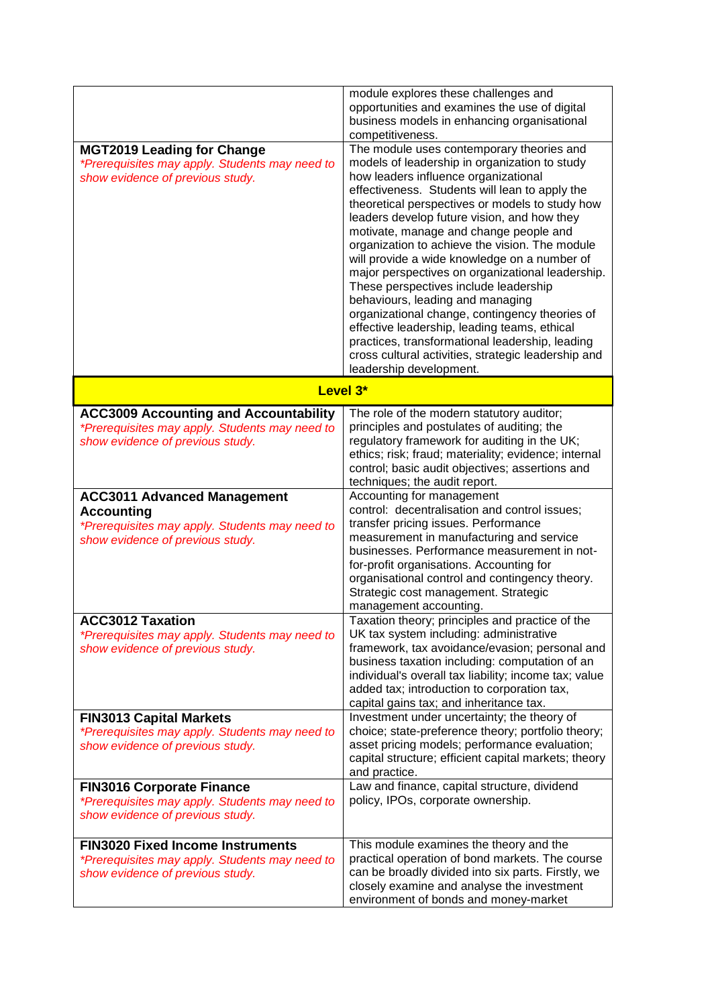|                                                                                                                                               | module explores these challenges and<br>opportunities and examines the use of digital<br>business models in enhancing organisational<br>competitiveness.                                                                                                                                                                                                                                                                                                                                                                                                                                                                                                                                                                                                                                                   |
|-----------------------------------------------------------------------------------------------------------------------------------------------|------------------------------------------------------------------------------------------------------------------------------------------------------------------------------------------------------------------------------------------------------------------------------------------------------------------------------------------------------------------------------------------------------------------------------------------------------------------------------------------------------------------------------------------------------------------------------------------------------------------------------------------------------------------------------------------------------------------------------------------------------------------------------------------------------------|
| <b>MGT2019 Leading for Change</b><br>*Prerequisites may apply. Students may need to<br>show evidence of previous study.                       | The module uses contemporary theories and<br>models of leadership in organization to study<br>how leaders influence organizational<br>effectiveness. Students will lean to apply the<br>theoretical perspectives or models to study how<br>leaders develop future vision, and how they<br>motivate, manage and change people and<br>organization to achieve the vision. The module<br>will provide a wide knowledge on a number of<br>major perspectives on organizational leadership.<br>These perspectives include leadership<br>behaviours, leading and managing<br>organizational change, contingency theories of<br>effective leadership, leading teams, ethical<br>practices, transformational leadership, leading<br>cross cultural activities, strategic leadership and<br>leadership development. |
| Level 3*                                                                                                                                      |                                                                                                                                                                                                                                                                                                                                                                                                                                                                                                                                                                                                                                                                                                                                                                                                            |
| <b>ACC3009 Accounting and Accountability</b><br>*Prerequisites may apply. Students may need to<br>show evidence of previous study.            | The role of the modern statutory auditor;<br>principles and postulates of auditing; the<br>regulatory framework for auditing in the UK;<br>ethics; risk; fraud; materiality; evidence; internal<br>control; basic audit objectives; assertions and<br>techniques; the audit report.                                                                                                                                                                                                                                                                                                                                                                                                                                                                                                                        |
| <b>ACC3011 Advanced Management</b><br><b>Accounting</b><br>*Prerequisites may apply. Students may need to<br>show evidence of previous study. | Accounting for management<br>control: decentralisation and control issues;<br>transfer pricing issues. Performance<br>measurement in manufacturing and service<br>businesses. Performance measurement in not-<br>for-profit organisations. Accounting for<br>organisational control and contingency theory.<br>Strategic cost management. Strategic<br>management accounting.                                                                                                                                                                                                                                                                                                                                                                                                                              |
| <b>ACC3012 Taxation</b><br>*Prerequisites may apply. Students may need to<br>show evidence of previous study.                                 | Taxation theory; principles and practice of the<br>UK tax system including: administrative<br>framework, tax avoidance/evasion; personal and<br>business taxation including: computation of an<br>individual's overall tax liability; income tax; value<br>added tax; introduction to corporation tax,<br>capital gains tax; and inheritance tax.                                                                                                                                                                                                                                                                                                                                                                                                                                                          |
| <b>FIN3013 Capital Markets</b><br>*Prerequisites may apply. Students may need to<br>show evidence of previous study.                          | Investment under uncertainty; the theory of<br>choice; state-preference theory; portfolio theory;<br>asset pricing models; performance evaluation;<br>capital structure; efficient capital markets; theory<br>and practice.                                                                                                                                                                                                                                                                                                                                                                                                                                                                                                                                                                                |
| <b>FIN3016 Corporate Finance</b><br>*Prerequisites may apply. Students may need to<br>show evidence of previous study.                        | Law and finance, capital structure, dividend<br>policy, IPOs, corporate ownership.                                                                                                                                                                                                                                                                                                                                                                                                                                                                                                                                                                                                                                                                                                                         |
| <b>FIN3020 Fixed Income Instruments</b><br>*Prerequisites may apply. Students may need to<br>show evidence of previous study.                 | This module examines the theory and the<br>practical operation of bond markets. The course<br>can be broadly divided into six parts. Firstly, we<br>closely examine and analyse the investment<br>environment of bonds and money-market                                                                                                                                                                                                                                                                                                                                                                                                                                                                                                                                                                    |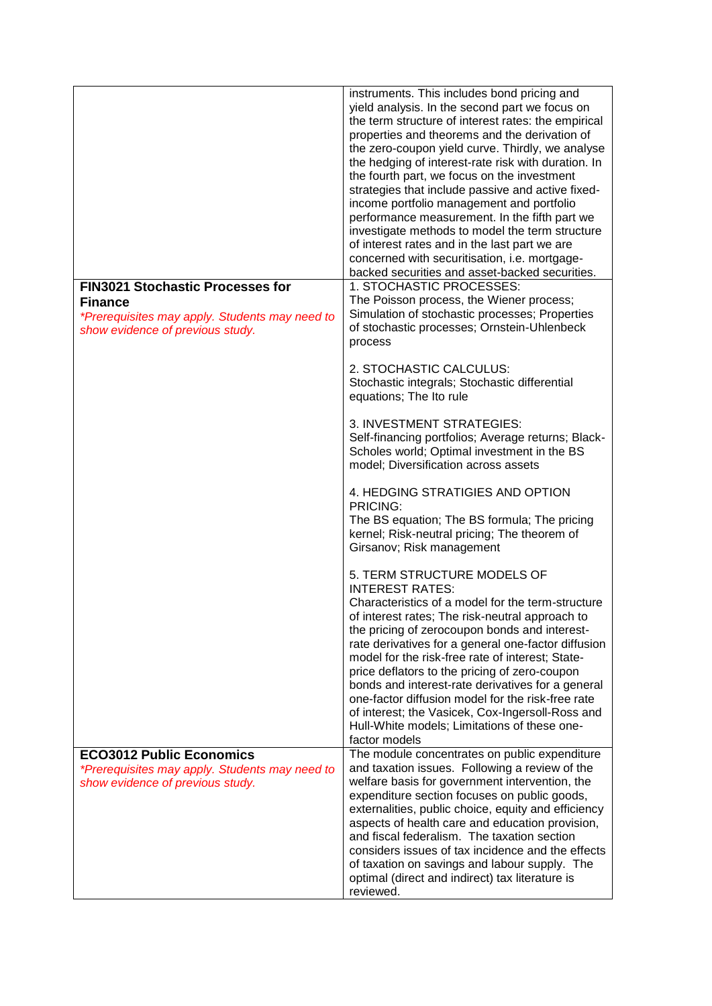|                                                                                                                                                 | instruments. This includes bond pricing and<br>yield analysis. In the second part we focus on<br>the term structure of interest rates: the empirical<br>properties and theorems and the derivation of<br>the zero-coupon yield curve. Thirdly, we analyse<br>the hedging of interest-rate risk with duration. In<br>the fourth part, we focus on the investment<br>strategies that include passive and active fixed-<br>income portfolio management and portfolio<br>performance measurement. In the fifth part we<br>investigate methods to model the term structure<br>of interest rates and in the last part we are<br>concerned with securitisation, i.e. mortgage-<br>backed securities and asset-backed securities. |
|-------------------------------------------------------------------------------------------------------------------------------------------------|---------------------------------------------------------------------------------------------------------------------------------------------------------------------------------------------------------------------------------------------------------------------------------------------------------------------------------------------------------------------------------------------------------------------------------------------------------------------------------------------------------------------------------------------------------------------------------------------------------------------------------------------------------------------------------------------------------------------------|
| <b>FIN3021 Stochastic Processes for</b><br><b>Finance</b><br>*Prerequisites may apply. Students may need to<br>show evidence of previous study. | 1. STOCHASTIC PROCESSES:<br>The Poisson process, the Wiener process;<br>Simulation of stochastic processes; Properties<br>of stochastic processes; Ornstein-Uhlenbeck<br>process                                                                                                                                                                                                                                                                                                                                                                                                                                                                                                                                          |
|                                                                                                                                                 | 2. STOCHASTIC CALCULUS:<br>Stochastic integrals; Stochastic differential<br>equations; The Ito rule                                                                                                                                                                                                                                                                                                                                                                                                                                                                                                                                                                                                                       |
|                                                                                                                                                 | 3. INVESTMENT STRATEGIES:<br>Self-financing portfolios; Average returns; Black-<br>Scholes world; Optimal investment in the BS<br>model; Diversification across assets                                                                                                                                                                                                                                                                                                                                                                                                                                                                                                                                                    |
|                                                                                                                                                 | 4. HEDGING STRATIGIES AND OPTION<br>PRICING:<br>The BS equation; The BS formula; The pricing<br>kernel; Risk-neutral pricing; The theorem of<br>Girsanov; Risk management                                                                                                                                                                                                                                                                                                                                                                                                                                                                                                                                                 |
|                                                                                                                                                 | 5. TERM STRUCTURE MODELS OF<br><b>INTEREST RATES:</b><br>Characteristics of a model for the term-structure<br>of interest rates; The risk-neutral approach to<br>the pricing of zerocoupon bonds and interest-<br>rate derivatives for a general one-factor diffusion<br>model for the risk-free rate of interest; State-<br>price deflators to the pricing of zero-coupon<br>bonds and interest-rate derivatives for a general<br>one-factor diffusion model for the risk-free rate<br>of interest; the Vasicek, Cox-Ingersoll-Ross and<br>Hull-White models; Limitations of these one-<br>factor models                                                                                                                 |
| <b>ECO3012 Public Economics</b><br>*Prerequisites may apply. Students may need to<br>show evidence of previous study.                           | The module concentrates on public expenditure<br>and taxation issues. Following a review of the<br>welfare basis for government intervention, the<br>expenditure section focuses on public goods,<br>externalities, public choice, equity and efficiency<br>aspects of health care and education provision,<br>and fiscal federalism. The taxation section<br>considers issues of tax incidence and the effects<br>of taxation on savings and labour supply. The<br>optimal (direct and indirect) tax literature is<br>reviewed.                                                                                                                                                                                          |